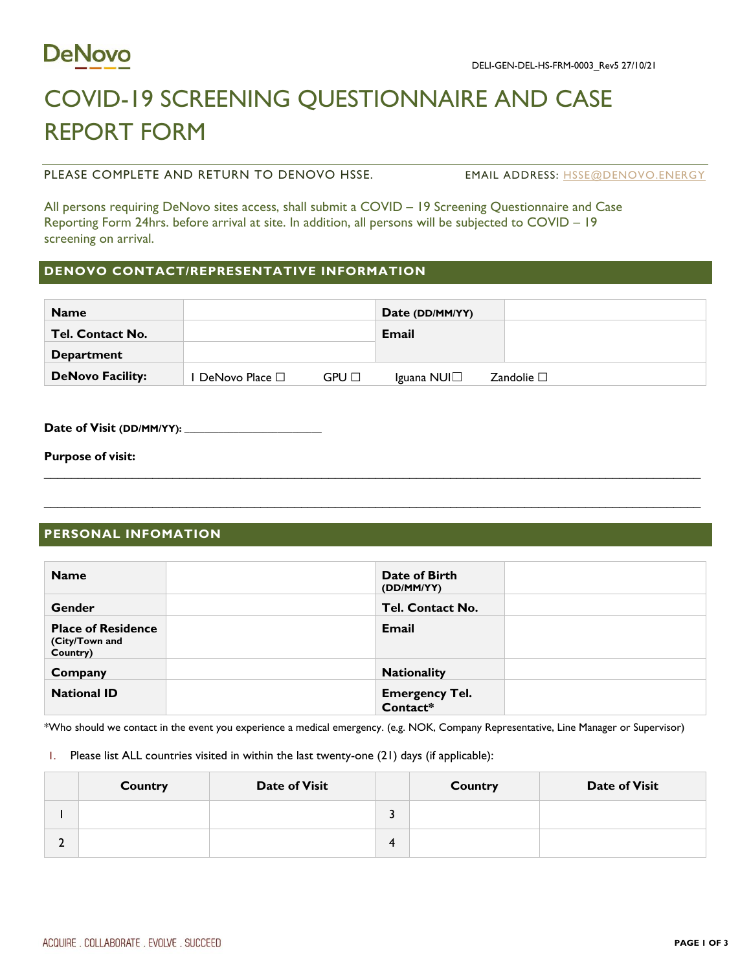

# COVID-19 SCREENING QUESTIONNAIRE AND CASE REPORT FORM

PLEASE COMPLETE AND RETURN TO DENOVO HSSE. The MAIL ADDRESS: [HSSE@DENOVO.ENERGY](mailto:hsse@denovo.energy)

All persons requiring DeNovo sites access, shall submit a COVID – 19 Screening Questionnaire and Case Reporting Form 24hrs. before arrival at site. In addition, all persons will be subjected to COVID – 19 screening on arrival.

## **DENOVO CONTACT/REPRESENTATIVE INFORMATION**

| <b>Name</b>             |                     |       | Date (DD/MM/YY) |                    |
|-------------------------|---------------------|-------|-----------------|--------------------|
| <b>Tel. Contact No.</b> |                     |       | Email           |                    |
| <b>Department</b>       |                     |       |                 |                    |
| <b>DeNovo Facility:</b> | DeNovo Place $\Box$ | GPU □ | Iguana NUI□     | Zandolie $\square$ |

Date of Visit (DD/MM/YY): \_

**Purpose of visit:**

### **PERSONAL INFOMATION**

| <b>Name</b>                                             | Date of Birth<br>(DD/MM/YY)       |  |
|---------------------------------------------------------|-----------------------------------|--|
| Gender                                                  | Tel. Contact No.                  |  |
| <b>Place of Residence</b><br>(City/Town and<br>Country) | <b>Email</b>                      |  |
| Company                                                 | <b>Nationality</b>                |  |
| <b>National ID</b>                                      | <b>Emergency Tel.</b><br>Contact* |  |

\_\_\_\_\_\_\_\_\_\_\_\_\_\_\_\_\_\_\_\_\_\_\_\_\_\_\_\_\_\_\_\_\_\_\_\_\_\_\_\_\_\_\_\_\_\_\_\_\_\_\_\_\_\_\_\_\_\_\_\_\_\_\_\_\_\_\_\_\_\_\_\_\_\_\_\_\_\_\_\_\_\_\_\_\_\_\_\_\_\_\_\_\_\_\_\_\_

\*Who should we contact in the event you experience a medical emergency. (e.g. NOK, Company Representative, Line Manager or Supervisor)

1. Please list ALL countries visited in within the last twenty-one (21) days (if applicable):

| Country | <b>Date of Visit</b> | <b>Country</b> | <b>Date of Visit</b> |
|---------|----------------------|----------------|----------------------|
|         |                      |                |                      |
|         |                      |                |                      |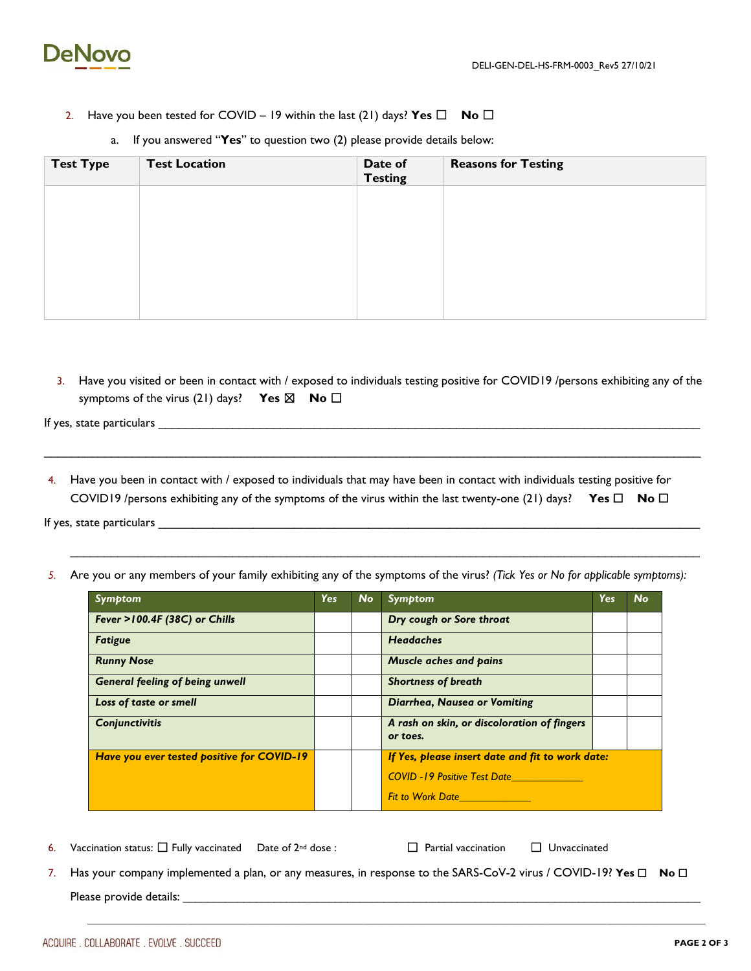

- 2. Have you been tested for COVID 19 within the last (21) days? **Yes** ☐ **No** ☐
- **Test Type** Test Location **Date of** Date of **Testing Reasons for Testing**
- a. If you answered "**Yes**" to question two (2) please provide details below:

3. Have you visited or been in contact with / exposed to individuals testing positive for COVID19 /persons exhibiting any of the symptoms of the virus (21) days? **Yes ⊠** No **□** 

If yes, state particulars

4. Have you been in contact with / exposed to individuals that may have been in contact with individuals testing positive for COVID19 /persons exhibiting any of the symptoms of the virus within the last twenty-one (21) days? **Yes** ☐ **No** ☐

\_\_\_\_\_\_\_\_\_\_\_\_\_\_\_\_\_\_\_\_\_\_\_\_\_\_\_\_\_\_\_\_\_\_\_\_\_\_\_\_\_\_\_\_\_\_\_\_\_\_\_\_\_\_\_\_\_\_\_\_\_\_\_\_\_\_\_\_\_\_\_\_\_\_\_\_\_\_\_\_\_\_\_\_\_\_\_\_\_\_\_\_\_\_\_\_\_

If yes, state particulars \_\_\_\_\_\_\_\_\_\_\_\_\_\_\_\_\_\_\_\_\_\_\_\_\_\_\_\_\_\_\_\_\_\_\_\_\_\_\_\_\_\_\_\_\_\_\_\_\_\_\_\_\_\_\_\_\_\_\_\_\_\_\_\_\_\_\_\_\_\_\_\_\_\_\_\_\_\_\_\_

*5.* Are you or any members of your family exhibiting any of the symptoms of the virus? *(Tick Yes or No for applicable symptoms):*

| Symptom                                    | <b>Yes</b> | <b>No</b> | <b>Symptom</b>                                                   | <b>Yes</b> | <b>No</b> |
|--------------------------------------------|------------|-----------|------------------------------------------------------------------|------------|-----------|
| Fever >100.4F (38C) or Chills              |            |           | Dry cough or Sore throat                                         |            |           |
| <b>Fatigue</b>                             |            |           | <b>Headaches</b>                                                 |            |           |
| <b>Runny Nose</b>                          |            |           | <b>Muscle aches and pains</b>                                    |            |           |
| <b>General feeling of being unwell</b>     |            |           | <b>Shortness of breath</b>                                       |            |           |
| Loss of taste or smell                     |            |           | Diarrhea, Nausea or Vomiting                                     |            |           |
| <b>Conjunctivitis</b>                      |            |           | A rash on skin, or discoloration of fingers<br>or toes.          |            |           |
| Have you ever tested positive for COVID-19 |            |           | If Yes, please insert date and fit to work date:                 |            |           |
|                                            |            |           | <b>COVID-19 Positive Test Date</b>                               |            |           |
|                                            |            |           |                                                                  |            |           |
|                                            |            |           | <b>Fit to Work Date Container the Second Structure Container</b> |            |           |

6. Vaccination status:  $\Box$  Fully vaccinated Date of  $2^{nd}$  dose :  $\Box$  Partial vaccination  $\Box$  Unvaccinated

7. Has your company implemented a plan, or any measures, in response to the SARS-CoV-2 virus / COVID-19? **Yes** ☐ **No** ☐ Please provide details: \_\_\_\_\_\_\_\_\_\_\_\_\_\_\_\_\_\_\_\_\_\_\_\_\_\_\_\_\_\_\_\_\_\_\_\_\_\_\_\_\_\_\_\_\_\_\_\_\_\_\_\_\_\_\_\_\_\_\_\_\_\_\_\_\_\_\_\_\_\_\_\_\_\_\_\_\_\_\_\_\_\_\_\_\_

**\_\_\_\_\_\_\_\_\_\_\_\_\_\_\_\_\_\_\_\_\_\_\_\_\_\_\_\_\_\_\_\_\_\_\_\_\_\_\_\_\_\_\_\_\_\_\_\_\_\_\_\_\_\_\_\_\_\_\_\_\_\_\_\_\_\_\_\_\_\_\_\_\_\_\_\_\_\_\_\_\_\_\_\_\_\_\_\_\_\_\_\_\_\_\_\_\_\_\_\_\_\_\_\_\_\_\_\_\_\_\_\_**